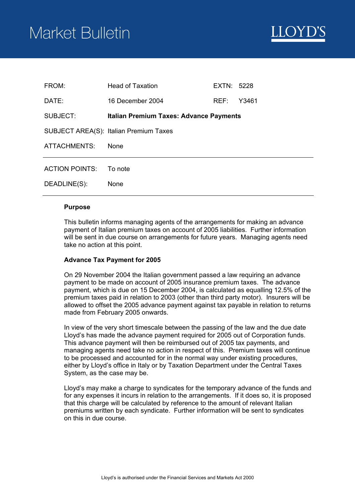# Market Bulletin



| FROM:                 | <b>Head of Taxation</b>                 | EXTN: 5228 |       |
|-----------------------|-----------------------------------------|------------|-------|
| DATE:                 | 16 December 2004                        | REF:       | Y3461 |
| SUBJECT:              | Italian Premium Taxes: Advance Payments |            |       |
|                       | SUBJECT AREA(S): Italian Premium Taxes  |            |       |
| ATTACHMENTS:          | <b>None</b>                             |            |       |
| <b>ACTION POINTS:</b> | To note                                 |            |       |
| DEADLINE(S):          | None                                    |            |       |

## **Purpose**

This bulletin informs managing agents of the arrangements for making an advance payment of Italian premium taxes on account of 2005 liabilities. Further information will be sent in due course on arrangements for future years. Managing agents need take no action at this point.

### **Advance Tax Payment for 2005**

On 29 November 2004 the Italian government passed a law requiring an advance payment to be made on account of 2005 insurance premium taxes. The advance payment, which is due on 15 December 2004, is calculated as equalling 12.5% of the premium taxes paid in relation to 2003 (other than third party motor). Insurers will be allowed to offset the 2005 advance payment against tax payable in relation to returns made from February 2005 onwards.

In view of the very short timescale between the passing of the law and the due date Lloyd's has made the advance payment required for 2005 out of Corporation funds. This advance payment will then be reimbursed out of 2005 tax payments, and managing agents need take no action in respect of this. Premium taxes will continue to be processed and accounted for in the normal way under existing procedures, either by Lloyd's office in Italy or by Taxation Department under the Central Taxes System, as the case may be.

Lloyd's may make a charge to syndicates for the temporary advance of the funds and for any expenses it incurs in relation to the arrangements. If it does so, it is proposed that this charge will be calculated by reference to the amount of relevant Italian premiums written by each syndicate. Further information will be sent to syndicates on this in due course.